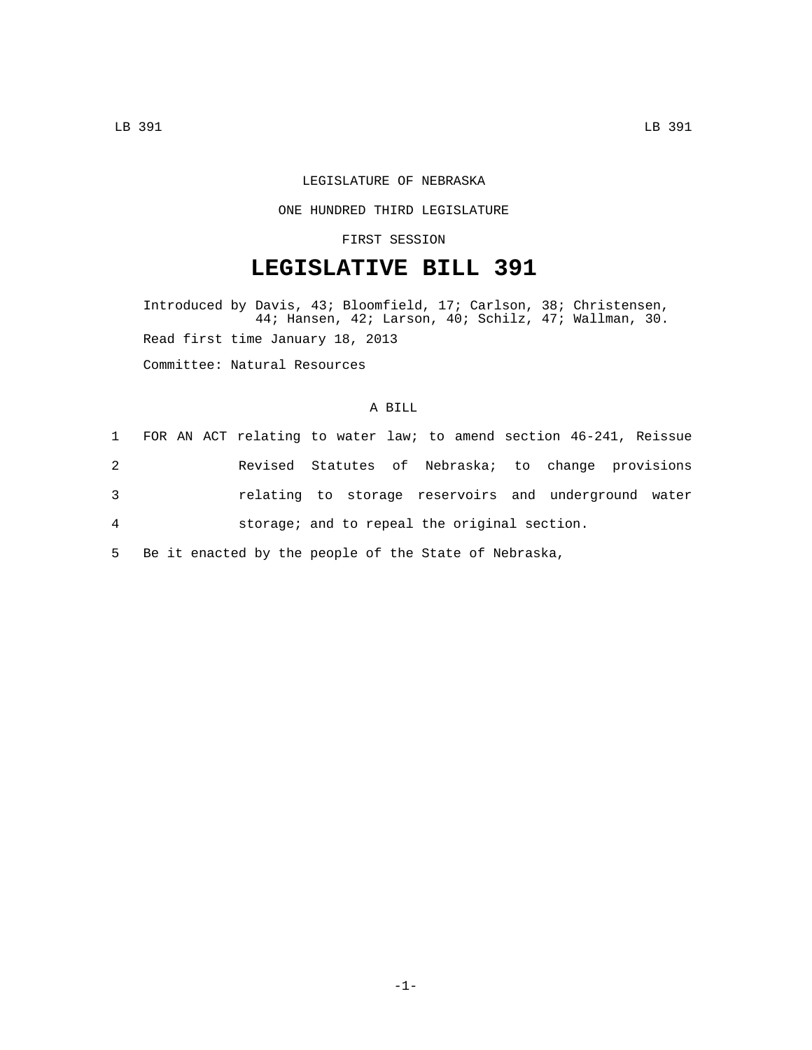## LEGISLATURE OF NEBRASKA

#### ONE HUNDRED THIRD LEGISLATURE

## FIRST SESSION

# **LEGISLATIVE BILL 391**

Introduced by Davis, 43; Bloomfield, 17; Carlson, 38; Christensen, 44; Hansen, 42; Larson, 40; Schilz, 47; Wallman, 30. Read first time January 18, 2013 Committee: Natural Resources

## A BILL

|   |  | 1 FOR AN ACT relating to water law; to amend section 46-241, Reissue |  |  |  |  |  |
|---|--|----------------------------------------------------------------------|--|--|--|--|--|
| 2 |  | Revised Statutes of Nebraska; to change provisions                   |  |  |  |  |  |
| 3 |  | relating to storage reservoirs and underground water                 |  |  |  |  |  |
| 4 |  | storage; and to repeal the original section.                         |  |  |  |  |  |

5 Be it enacted by the people of the State of Nebraska,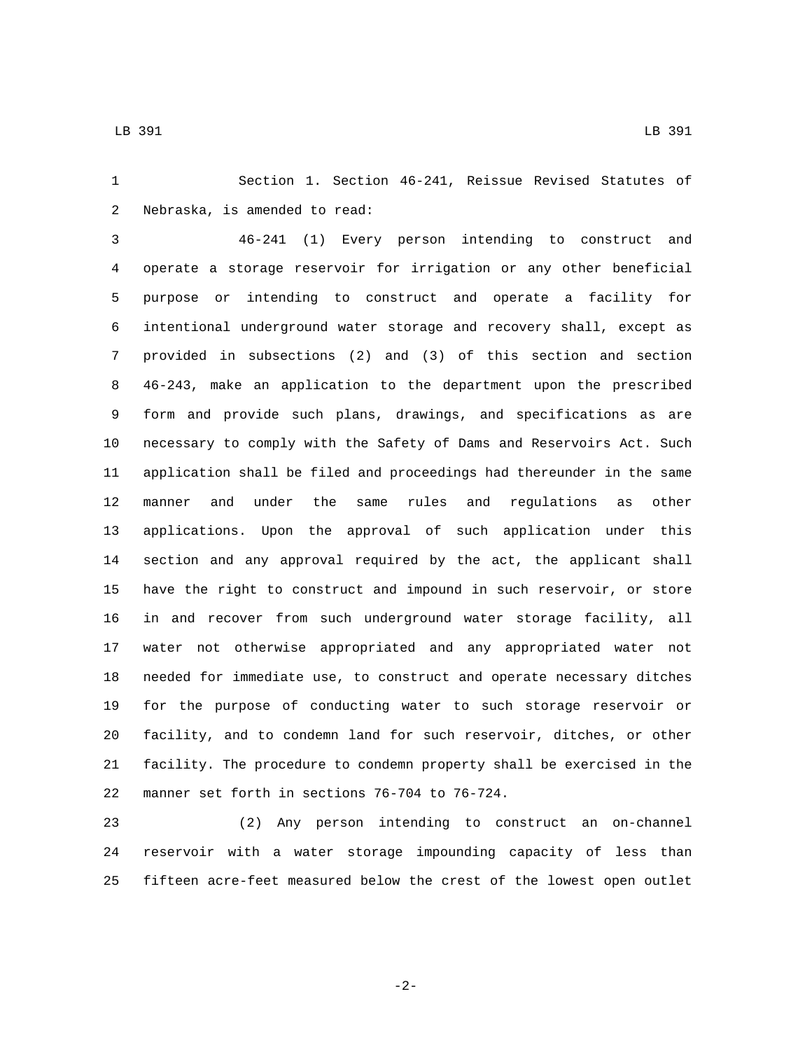LB 391 LB 391

 Section 1. Section 46-241, Reissue Revised Statutes of 2 Nebraska, is amended to read:

 46-241 (1) Every person intending to construct and operate a storage reservoir for irrigation or any other beneficial purpose or intending to construct and operate a facility for intentional underground water storage and recovery shall, except as provided in subsections (2) and (3) of this section and section 46-243, make an application to the department upon the prescribed form and provide such plans, drawings, and specifications as are necessary to comply with the Safety of Dams and Reservoirs Act. Such application shall be filed and proceedings had thereunder in the same manner and under the same rules and regulations as other applications. Upon the approval of such application under this section and any approval required by the act, the applicant shall have the right to construct and impound in such reservoir, or store in and recover from such underground water storage facility, all water not otherwise appropriated and any appropriated water not needed for immediate use, to construct and operate necessary ditches for the purpose of conducting water to such storage reservoir or facility, and to condemn land for such reservoir, ditches, or other facility. The procedure to condemn property shall be exercised in the 22 manner set forth in sections 76-704 to 76-724.

 (2) Any person intending to construct an on-channel reservoir with a water storage impounding capacity of less than fifteen acre-feet measured below the crest of the lowest open outlet

-2-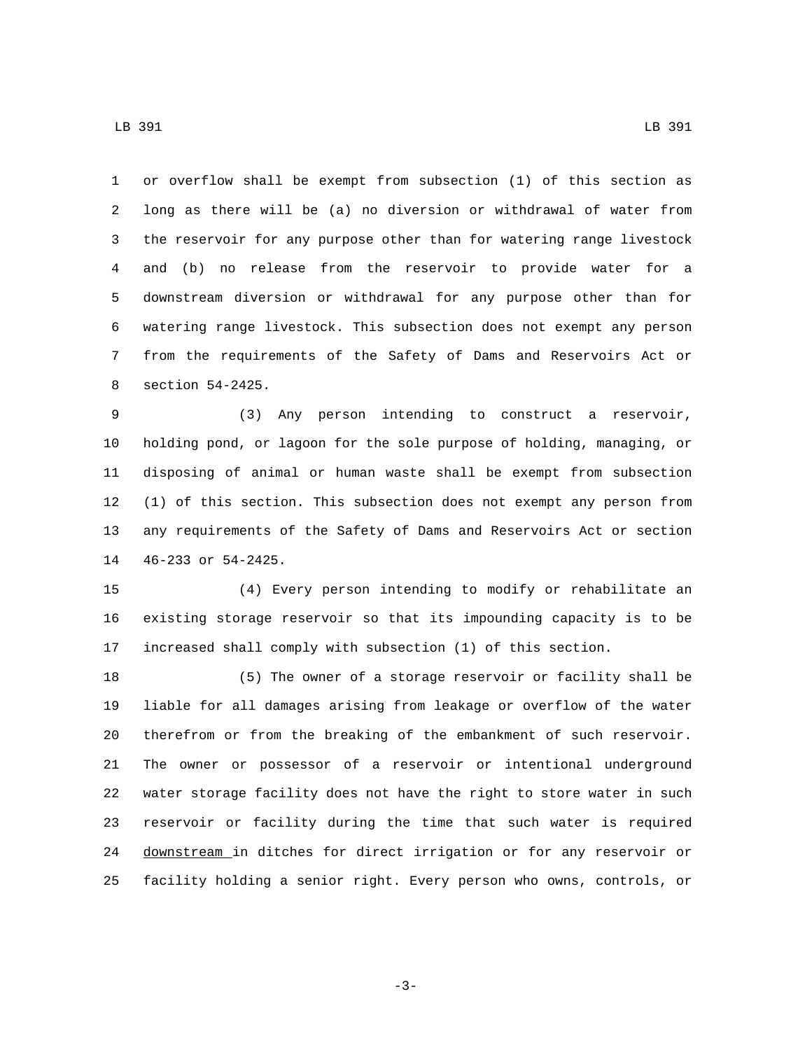LB 391 LB 391

 or overflow shall be exempt from subsection (1) of this section as long as there will be (a) no diversion or withdrawal of water from the reservoir for any purpose other than for watering range livestock and (b) no release from the reservoir to provide water for a downstream diversion or withdrawal for any purpose other than for watering range livestock. This subsection does not exempt any person from the requirements of the Safety of Dams and Reservoirs Act or 8 section 54-2425.

 (3) Any person intending to construct a reservoir, holding pond, or lagoon for the sole purpose of holding, managing, or disposing of animal or human waste shall be exempt from subsection (1) of this section. This subsection does not exempt any person from any requirements of the Safety of Dams and Reservoirs Act or section 14 46-233 or 54-2425.

 (4) Every person intending to modify or rehabilitate an existing storage reservoir so that its impounding capacity is to be increased shall comply with subsection (1) of this section.

 (5) The owner of a storage reservoir or facility shall be liable for all damages arising from leakage or overflow of the water therefrom or from the breaking of the embankment of such reservoir. The owner or possessor of a reservoir or intentional underground water storage facility does not have the right to store water in such reservoir or facility during the time that such water is required downstream in ditches for direct irrigation or for any reservoir or facility holding a senior right. Every person who owns, controls, or

-3-